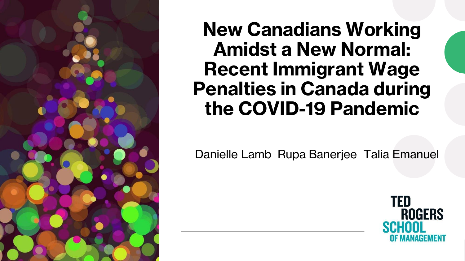

**New Canadians Working Amidst a New Normal: Recent Immigrant Wage Penalties in Canada during the COVID-19 Pandemic**

Danielle Lamb Rupa Banerjee Talia Emanuel

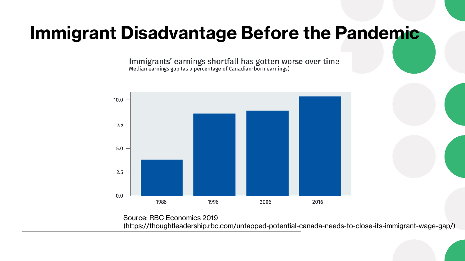#### **Immigrant Disadvantage Before the Pandemic**

Immigrants' earnings shortfall has gotten worse over time<br>Median earnings gap (as a percentage of Canadian-born earnings)



Source: RBC Economics 2019 (https://thoughtleadership.rbc.com/untapped-potential-canada-needs-to-close-its-immigrant-wage-gap/)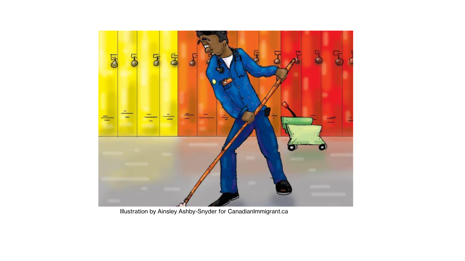

Illustration by Ainsley Ashby-Snyder for CanadianImmigrant.ca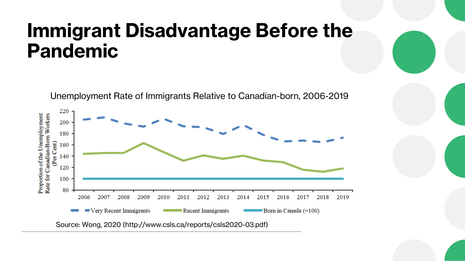### **Immigrant Disadvantage Before the Pandemic**



Unemployment Rate of Immigrants Relative to Canadian-born, 2006-2019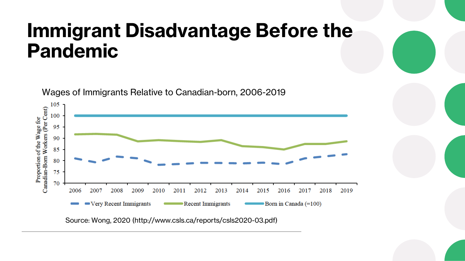### **Immigrant Disadvantage Before the Pandemic**



Source: Wong, 2020 (http://www.csls.ca/reports/csls2020-03.pdf)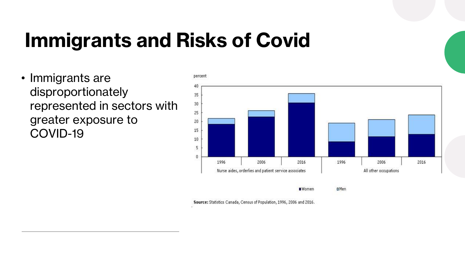### **Immigrants and Risks of Covid**

• Immigrants are disproportionately represented in sectors with greater exposure to COVID-19



Source: Statistics Canada, Census of Population, 1996, 2006 and 2016.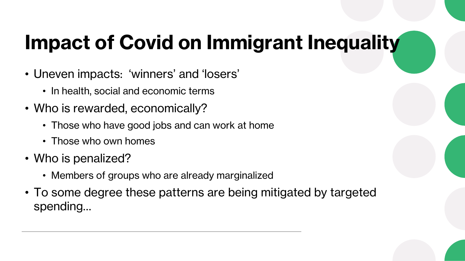# **Impact of Covid on Immigrant Inequality**

- Uneven impacts: 'winners' and 'losers'
	- In health, social and economic terms
- Who is rewarded, economically?
	- Those who have good jobs and can work at home
	- Those who own homes
- Who is penalized?
	- Members of groups who are already marginalized
- To some degree these patterns are being mitigated by targeted spending…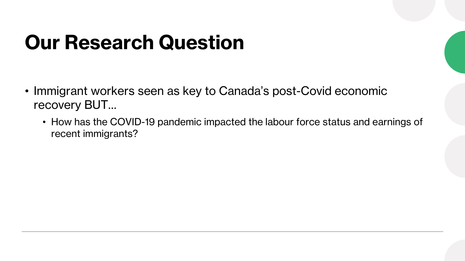# **Our Research Question**

- Immigrant workers seen as key to Canada's post-Covid economic recovery BUT…
	- How has the COVID-19 pandemic impacted the labour force status and earnings of recent immigrants?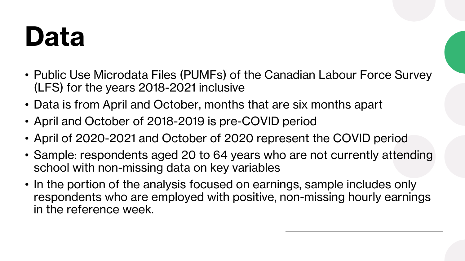# **Data**

- Public Use Microdata Files (PUMFs) of the Canadian Labour Force Survey (LFS) for the years 2018-2021 inclusive
- Data is from April and October, months that are six months apart
- April and October of 2018-2019 is pre-COVID period
- April of 2020-2021 and October of 2020 represent the COVID period
- Sample: respondents aged 20 to 64 years who are not currently attending school with non-missing data on key variables
- In the portion of the analysis focused on earnings, sample includes only respondents who are employed with positive, non-missing hourly earnings in the reference week.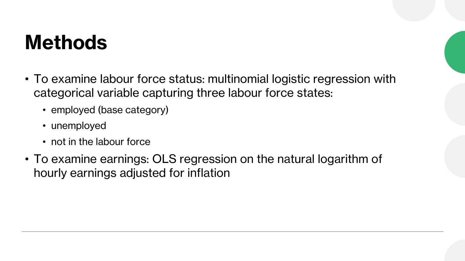### **Methods**

- To examine labour force status: multinomial logistic regression with categorical variable capturing three labour force states:
	- employed (base category)
	- unemployed
	- not in the labour force
- To examine earnings: OLS regression on the natural logarithm of hourly earnings adjusted for inflation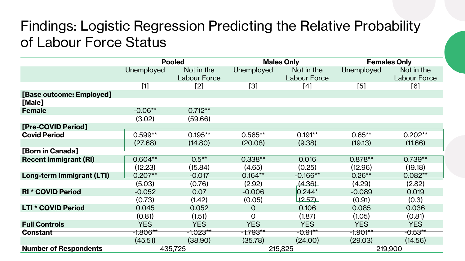#### Findings: Logistic Regression Predicting the Relative Probability of Labour Force Status

|                              | <b>Pooled</b> |                     |                | <b>Males Only</b> | <b>Females Only</b> |                     |
|------------------------------|---------------|---------------------|----------------|-------------------|---------------------|---------------------|
|                              | Unemployed    | Not in the          | Unemployed     | Not in the        | Unemployed          | Not in the          |
|                              |               | <b>Labour Force</b> |                | Labour Force      |                     | <b>Labour Force</b> |
|                              | $[1]$         | [2]                 | $[3]$          | [4]               | [5]                 | [6]                 |
| [Base outcome: Employed]     |               |                     |                |                   |                     |                     |
| [Male]                       |               |                     |                |                   |                     |                     |
| <b>Female</b>                | $-0.06**$     | $0.712**$           |                |                   |                     |                     |
|                              | (3.02)        | (59.66)             |                |                   |                     |                     |
| [Pre-COVID Period]           |               |                     |                |                   |                     |                     |
| <b>Covid Period</b>          | $0.599**$     | $0.195**$           | $0.565**$      | $0.191**$         | $0.65**$            | $0.202**$           |
|                              | (27.68)       | (14.80)             | (20.08)        | (9.38)            | (19.13)             | (11.66)             |
| [Born in Canada]             |               |                     |                |                   |                     |                     |
| <b>Recent Immigrant (RI)</b> | $0.604***$    | $0.5***$            | $0.338**$      | 0.016             | $0.878***$          | $0.739**$           |
|                              | (12.23)       | (15.84)             | (4.65)         | (0.25)            | (12.96)             | (19.18)             |
| Long-term Immigrant (LTI)    | $0.207**$     | $-0.017$            | $0.164**$      | $-0.166**$        | $0.26**$            | $0.082**$           |
|                              | (5.03)        | (0.76)              | (2.92)         | (4.36)            | (4.29)              | (2.82)              |
| <b>RI * COVID Period</b>     | $-0.052$      | 0.07                | $-0.006$       | $0.244*$          | $-0.089$            | 0.019               |
|                              | (0.73)        | (1.42)              | (0.05)         | (2.57)            | (0.91)              | (0.3)               |
| <b>LTI * COVID Period</b>    | 0.045         | 0.052               | $\overline{O}$ | 0.106             | 0.085               | 0.036               |
|                              | (0.81)        | (1.51)              | O              | (1.87)            | (1.05)              | (0.81)              |
| <b>Full Controls</b>         | <b>YES</b>    | <b>YES</b>          | <b>YES</b>     | <b>YES</b>        | <b>YES</b>          | <b>YES</b>          |
| Constant                     | $-1.806**$    | $-1.023**$          | $-1.793**$     | -0.91**           | $-1.901***$         | $-0.53***$          |
|                              | (45.51)       | (38.90)             | (35.78)        | (24.00)           | (29.03)             | (14.56)             |
| <b>Number of Respondents</b> | 435,725       |                     | 215,825        |                   | 219,900             |                     |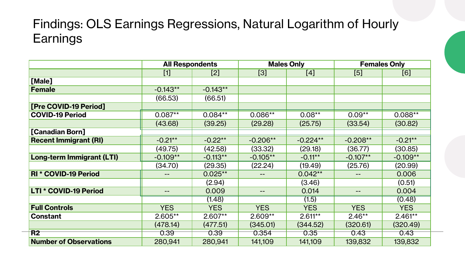#### Findings: OLS Earnings Regressions, Natural Logarithm of Hourly **Earnings**

|                               | <b>All Respondents</b> |            | <b>Males Only</b> |            | <b>Females Only</b> |            |
|-------------------------------|------------------------|------------|-------------------|------------|---------------------|------------|
|                               | $[1]$                  | $[2]$      | [3]               | [4]        | [5]                 | [6]        |
| [Male]                        |                        |            |                   |            |                     |            |
| <b>Female</b>                 | $-0.143**$             | $-0.143**$ |                   |            |                     |            |
|                               | (66.53)                | (66.51)    |                   |            |                     |            |
| [Pre COVID-19 Period]         |                        |            |                   |            |                     |            |
| <b>COVID-19 Period</b>        | $0.087**$              | $0.084**$  | $0.086**$         | $0.08**$   | $0.09**$            | 0.088**    |
|                               | (43.68)                | (39.25)    | (29.28)           | (25.75)    | (33.54)             | (30.82)    |
| [Canadian Born]               |                        |            |                   |            |                     |            |
| <b>Recent Immigrant (RI)</b>  | $-0.21**$              | $-0.22**$  | $-0.206**$        | $-0.224**$ | $-0.208**$          | $-0.21**$  |
|                               | (49.75)                | (42.58)    | (33.32)           | (29.18)    | (36.77)             | (30.85)    |
| Long-term Immigrant (LTI)     | $-0.109**$             | $-0.113**$ | $-0.105**$        | $-0.11***$ | $-0.107**$          | $-0.109**$ |
|                               | (34.70)                | (29.35)    | (22.24)           | (19.49)    | (25.76)             | (20.99)    |
| <b>RI * COVID-19 Period</b>   |                        | $0.025**$  |                   | $0.042**$  |                     | 0.006      |
|                               |                        | (2.94)     |                   | (3.46)     |                     | (0.51)     |
| LTI * COVID-19 Period         | $\qquad \qquad -$      | 0.009      | $- -$             | 0.014      | $\qquad \qquad -$   | 0.004      |
|                               |                        | (1.48)     |                   | (1.5)      |                     | (0.48)     |
| <b>Full Controls</b>          | <b>YES</b>             | <b>YES</b> | <b>YES</b>        | <b>YES</b> | <b>YES</b>          | <b>YES</b> |
| <b>Constant</b>               | $2.605**$              | $2.607**$  | $2.609**$         | $2.611**$  | $2.46**$            | $2.461**$  |
|                               | (478.14)               | (477.51)   | (345.01)          | (344.52)   | (320.61)            | (320.49)   |
| R <sub>2</sub>                | 0.39                   | 0.39       | 0.354             | 0.35       | 0.43                | 0.43       |
| <b>Number of Observations</b> | 280,941                | 280,941    | 141,109           | 141,109    | 139,832             | 139,832    |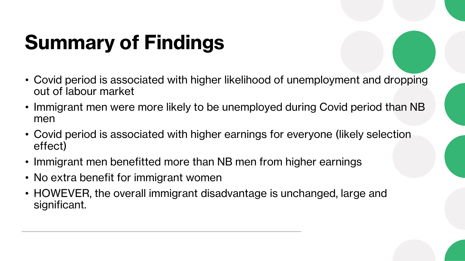# **Summary of Findings**

- Covid period is associated with higher likelihood of unemployment and dropping out of labour market
- Immigrant men were more likely to be unemployed during Covid period than NB men
- Covid period is associated with higher earnings for everyone (likely selection effect)
- Immigrant men benefitted more than NB men from higher earnings
- No extra benefit for immigrant women
- HOWEVER, the overall immigrant disadvantage is unchanged, large and significant.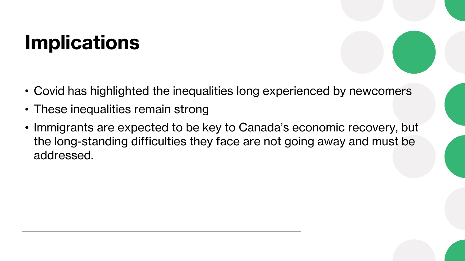## **Implications**

- Covid has highlighted the inequalities long experienced by newcomers
- These inequalities remain strong
- Immigrants are expected to be key to Canada's economic recovery, but the long-standing difficulties they face are not going away and must be addressed.